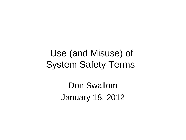## Use (and Misuse) of System Safety Terms

Don Swallom January 18, 2012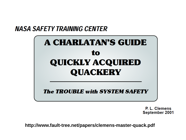### **NASA SAFETY TRAINING CENTER**



**The TROUBLE with SYSTEM SAFETY** 

**P.L. Clemens September 2001** 

**http://www.fault-tree.net/papers/clemens-master-quack.pdf**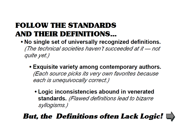### **FOLLOW THE STANDARDS AND THEIR DEFINITIONS...**

- No single set of universally recognized definitions. (The technical societies haven't succeeded at it - not quite yet.)
	- Exquisite variety among contemporary authors. (Each source picks its very own favorites because each is unequivocally correct.)
		- Logic inconsistencies abound in venerated standards. (Flawed definitions lead to bizarre syllogisms.)

### But, the Definitions often Lack Logic!  $\Box$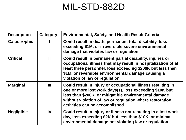## MIL-STD-882D

| <b>Description</b>  | <b>Category</b>     | <b>Environmental, Safety, and Health Result Criteria</b>                                                                                                                                                                                                                         |
|---------------------|---------------------|----------------------------------------------------------------------------------------------------------------------------------------------------------------------------------------------------------------------------------------------------------------------------------|
| <b>Catastrophic</b> |                     | Could result in death, permanent total disability, loss<br>exceeding \$1M, or irreversible severe environmental<br>damage that violates law or regulation                                                                                                                        |
| <b>Critical</b>     | $\mathbf \mathbf I$ | Could result in permanent partial disability, injuries or<br>occupational illness that may result in hospitalization of at<br>least three personnel, loss exceeding \$200K but less than<br>\$1M, or reversible environmental damage causing a<br>violation of law or regulation |
| <b>Marginal</b>     | Ш                   | Could result in injury or occupational illness resulting in<br>one or more lost work days(s), loss exceeding \$10K but<br>less than \$200K, or mitigatible environmental damage<br>without violation of law or regulation where restoration<br>activities can be accomplished    |
| <b>Negligible</b>   | IV                  | Could result in injury or illness not resulting in a lost work<br>day, loss exceeding \$2K but less than \$10K, or minimal<br>environmental damage not violating law or regulation                                                                                               |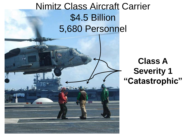# Nimitz Class Aircraft Carrier \$4.5 Billion 5,680 Personnel

πŢ

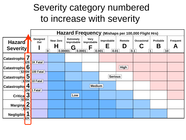## Severity category numbered to increase with severity

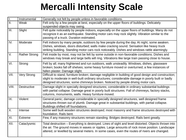# **Mercalli Intensity Scale**

| $\overline{\mathbf{L}}$    | Instrumental         | Generally not felt by people unless in favorable conditions.                                         |
|----------------------------|----------------------|------------------------------------------------------------------------------------------------------|
| $\overline{\mathbb{L}}$    | Weak                 | Felt only by a few people at best, especially on the upper floors of buildings. Delicately           |
|                            |                      | suspended objects may swing.                                                                         |
| III.                       | Slight               | Felt quite noticeably by people indoors, especially on the upper floors of buildings. Many do not    |
|                            |                      | recognize it as an earthquake. Standing motor cars may rock slightly. Vibration similar to the       |
|                            |                      | passing of a truck. Duration estimated.                                                              |
| IV.                        | Moderate             | Felt indoors by many people, outdoors by few people during the day. At night, some awaken.           |
|                            |                      | Dishes, windows, doors disturbed; walls make cracking sound. Sensation like heavy truck              |
|                            |                      | striking building. Standing motor cars rock noticeably. Dishes and windows rattle alarmingly.        |
| $\overline{V}$ .           | <b>Rather Strong</b> | Felt inside by most, may not be felt by some outside in non-favorable conditions. Dishes and         |
|                            |                      | windows may break and large bells will ring. Vibrations like large train passing close to house.     |
| VI.                        | Strong               | Felt by all; many frightened and run outdoors, walk unsteadily. Windows, dishes, glassware           |
|                            |                      | broken; books fall off shelves; some heavy furniture moved or overturned; a few instances of         |
|                            |                      | fallen plaster. Damage slight.                                                                       |
| VII.                       | Very Strong          | Difficult to stand; furniture broken; damage negligible in building of good design and construction; |
|                            |                      | slight to moderate in well-built ordinary structures; considerable damage in poorly built or badly   |
|                            |                      | designed structures; some chimneys broken. Noticed by people driving motor cars.                     |
| VIII.                      | <b>Destructive</b>   | Damage slight in specially designed structures; considerable in ordinary substantial buildings       |
|                            |                      | with partial collapse. Damage great in poorly built structures. Fall of chimneys, factory stacks,    |
|                            |                      | columns, monuments, walls. Heavy furniture moved.                                                    |
| $\overline{\mathsf{IX}}$ . | Violent              | General panic; damage considerable in specially designed structures, well designed frame             |
|                            |                      | structures thrown out of plumb. Damage great in substantial buildings, with partial collapse.        |
|                            |                      | Buildings shifted off foundations.                                                                   |
| X.                         | Intense              | Some well built wooden structures destroyed; most masonry and frame structures destroyed with        |
|                            |                      | foundation. Rails bent.                                                                              |
| XI.                        | <b>Extreme</b>       | Few, if any masonry structures remain standing. Bridges destroyed. Rails bent greatly.               |
| XII.                       | Cataclysmic          | Total destruction - Everything is destroyed. Lines of sight and level distorted. Objects thrown into |
|                            |                      | the air. The ground moves in waves or ripples. Large amounts of rock move position. Landscape        |
|                            |                      | altered, or levelled by several meters. In some cases, even the routes of rivers are changed.        |
|                            |                      |                                                                                                      |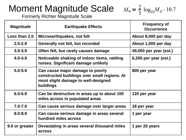# Moment Magnitude Scale

$$
M_{\rm w} = \frac{2}{3} \log_{10} M_0 - 10.7
$$

Formerly Richter Magnitude Scale

| <b>Magnitude</b> | <b>Earthquake Effects</b>                                                                                                            | <b>Frequency of</b><br><b>Occurrence</b> |  |
|------------------|--------------------------------------------------------------------------------------------------------------------------------------|------------------------------------------|--|
| Less than 2.0    | Microearthquakes, not felt                                                                                                           | About 8,000 per day                      |  |
| $2.0 - 2.9$      | Generally not felt, but recorded                                                                                                     | About 1,000 per day                      |  |
| $3.0 - 3.9$      | Often felt, but rarely causes damage                                                                                                 | 49,000 per year (est.)                   |  |
| $4.0 - 4.9$      | Noticeable shaking of indoor items, rattling<br>noises. Significant damage unlikely                                                  | 6,200 per year (est.)                    |  |
| $5.0 - 5.9$      | Can cause major damage to poorly<br>constructed buildings over small regions. At<br>most slight damage to well-designed<br>buildings | 800 per year                             |  |
| $6.0 - 6.9$      | Can be destructive in areas up to about 100<br>miles across in populated areas                                                       | 120 per year                             |  |
| $7.0 - 7.9$      | Can cause serious damage over larger areas                                                                                           | 18 per year                              |  |
| $8.0 - 8.9$      | Can cause serious damage in areas several<br>hundred miles across                                                                    | 1 per year                               |  |
| 9.0 or greater   | Devastating in areas several thousand miles<br>across                                                                                | 1 per 20 years                           |  |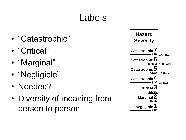# Labels

- "Catastrophic"
- "Critical"
- "Marginal"
- "Negligible"
- Needed?
- Diversity of meaning from person to person

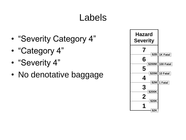# Labels

- "Severity Category 4"
- "Category 4"
- "Severity 4"
- No denotative baggage

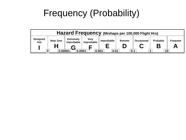# Frequency (Probability)

| Hazard Frequency (Mishaps per 100,000 Flight Hrs) |   |                  |                                |        |                           |       |            |      |        |     |            |          |    |                 |
|---------------------------------------------------|---|------------------|--------------------------------|--------|---------------------------|-------|------------|------|--------|-----|------------|----------|----|-----------------|
| <b>Designed</b><br>Out                            |   | <b>Near Zero</b> | <b>Extremely</b><br>Improbable |        | <b>Very</b><br>Improbable |       | Improbable |      | Remote |     | Occasional | Probable |    | <b>Frequent</b> |
|                                                   | 0 | 0.00001          |                                | 0.0001 |                           | 0.001 |            | 0.01 |        | 0.1 |            |          | 10 |                 |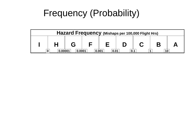# Frequency (Probability)

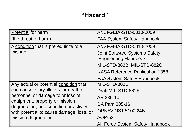### **"Hazard"**

| Potential for harm                                                        | ANSI/GEIA-STD-0010-2009                |  |  |  |
|---------------------------------------------------------------------------|----------------------------------------|--|--|--|
| (the threat of harm)                                                      | <b>FAA System Safety Handbook</b>      |  |  |  |
| A condition that is prerequisite to a                                     | ANSI/GEIA-STD-0010-2009                |  |  |  |
| mishap                                                                    | <b>Joint Software Systems Safety</b>   |  |  |  |
|                                                                           | <b>Engineering Handbook</b>            |  |  |  |
|                                                                           | MIL-STD-882B, MIL-STD-882C             |  |  |  |
|                                                                           | <b>NASA Reference Publication 1358</b> |  |  |  |
|                                                                           | <b>FAA System Safety Handbook</b>      |  |  |  |
| Any actual or potential condition that                                    | MIL-STD-882D                           |  |  |  |
| can cause injury, illness, or death of                                    | Draft MIL-STD-882E                     |  |  |  |
| personnel or damage to or loss of                                         | AR 385-10                              |  |  |  |
| equipment, property or mission<br>degradation, or a condition or activity | DA Pam 385-16                          |  |  |  |
| with potential to cause damage, loss, or                                  | OPNAVINST 5100.24B                     |  |  |  |
| mission degradation                                                       | <b>AOP-52</b>                          |  |  |  |
|                                                                           | Air Force System Safety Handbook       |  |  |  |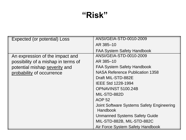### **"Risk"**

| Expected (or potential) Loss        | ANSI/GEIA-STD-0010-2009                                      |
|-------------------------------------|--------------------------------------------------------------|
|                                     | AR 385-10                                                    |
|                                     | <b>FAA System Safety Handbook</b>                            |
| An expression of the impact and     | ANSI/GEIA-STD-0010-2009                                      |
| possibility of a mishap in terms of | AR 385-10                                                    |
| potential mishap severity and       | <b>FAA System Safety Handbook</b>                            |
| probability of occurrence           | <b>NASA Reference Publication 1358</b>                       |
|                                     | Draft MIL-STD-882E                                           |
|                                     | <b>IEEE Std 1228-1994</b>                                    |
|                                     | OPNAVINST 5100.24B                                           |
|                                     | MIL-STD-882D                                                 |
|                                     | <b>AOP 52</b>                                                |
|                                     | Joint Software Systems Safety Engineering<br><b>Handbook</b> |
|                                     | <b>Unmanned Systems Safety Guide</b>                         |
|                                     | MIL-STD-882B, MIL-STD-882C                                   |
|                                     | Air Force System Safety Handbook                             |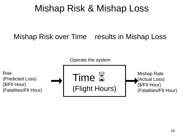## Mishap Risk & Mishap Loss

### Mishap Risk over Time results in Mishap Loss

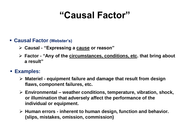## **"Causal Factor"**

#### **Causal Factor (Webster's)**

- **Causal - "Expressing a cause or reason"**
- **Factor - "Any of the circumstances, conditions, etc. that bring about a result"**

#### **Examples:**

- **Materiel - equipment failure and damage that result from design flaws, component failures, etc.**
- **Environmental – weather conditions, temperature, vibration, shock, or illumination that adversely affect the performance of the individual or equipment.**
- **Human errors - inherent to human design, function and behavior. (slips, mistakes, omission, commission)**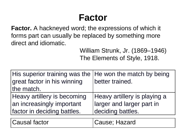# **Factor**

**Factor.** A hackneyed word; the expressions of which it forms part can usually be replaced by something more direct and idiomatic.

> William Strunk, Jr. (1869–1946) The Elements of Style, 1918.

| His superior training was the $ He$ won the match by being<br>great factor in his winning<br>the match. | better trained.                                |
|---------------------------------------------------------------------------------------------------------|------------------------------------------------|
| Heavy artillery is becoming                                                                             | Heavy artillery is playing a                   |
| an increasingly important<br>factor in deciding battles.                                                | larger and larger part in<br>deciding battles. |

| Causal factor<br>Cause; Hazard |
|--------------------------------|
|--------------------------------|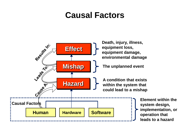### **Causal Factors**

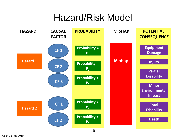## Hazard/Risk Model

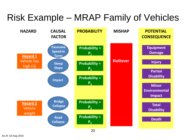# Risk Example – MRAP Family of Vehicles

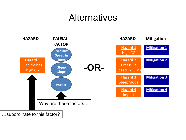### Alternatives

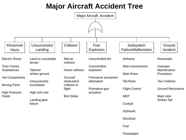### **Major Aircraft Accident Tree**

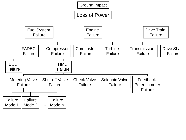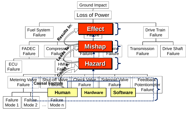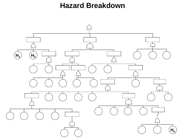### **Hazard Breakdown**

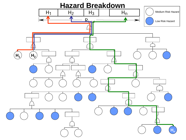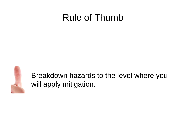## Rule of Thumb



Breakdown hazards to the level where you will apply mitigation.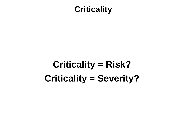### **Criticality**

# **Criticality = Risk? Criticality = Severity?**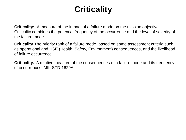### **Criticality**

**Criticality:** A measure of the impact of a failure mode on the mission objective. Criticality combines the potential frequency of the occurrence and the level of severity of the failure mode.

**Criticality** The priority rank of a failure mode, based on some assessment criteria such as operational and HSE (Health, Safety, Environment) consequences, and the likelihood of failure occurrence.

**Criticality.** A relative measure of the consequences of a failure mode and its frequency of occurrences. MIL-STD-1629A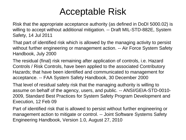## Acceptable Risk

Risk that the appropriate acceptance authority (as defined in DoDI 5000.02) is willing to accept without additional mitigation. -- Draft MIL-STD-882E, System Safety, 14 Jul 2011

That part of identified risk which is allowed by the managing activity to persist without further engineering or management action. -- Air Force System Safety Handbook, July 2000

The residual (final) risk remaining after application of controls, i.e. Hazard Controls / Risk Controls, have been applied to the associated Contributory Hazards; that have been identified and communicated to management for acceptance. -- FAA System Safety Handbook, 30 December 2000

That level of residual safety risk that the managing authority is willing to assume on behalf of the agency, users, and public. -- ANSI/GEIA-STD-0010- 2009, Standard Best Practices for System Safety Program Development and Execution, 12 Feb 09

Part of identified risk that is allowed to persist without further engineering or management action to mitigate or control. -- Joint Software Systems Safety Engineering Handbook, Version 1.0, August 27, 2010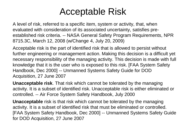## Acceptable Risk

A level of risk, referred to a specific item, system or activity, that, when evaluated with consideration of its associated uncertainty, satisfies preestablished risk criteria. -- NASA General Safety Program Requirements, NPR 8715.3C, March 12, 2008 (w/Change 4, July 20, 2009)

Acceptable risk is the part of identified risk that is allowed to persist without further engineering or management action. Making this decision is a difficult yet necessary responsibility of the managing activity. This decision is made with full knowledge that it is the user who is exposed to this risk. [FAA System Safety Handbook, Dec 2000] -- Unmanned Systems Safety Guide for DOD Acquisition, 27 June 2007

**Unacceptable risk**. That risk which cannot be tolerated by the managing activity. It is a subset of identified risk. Unacceptable risk is either eliminated or controlled. -- Air Force System Safety Handbook, July 2000

**Unacceptable** risk is that risk which cannot be tolerated by the managing activity. It is a subset of identified risk that must be eliminated or controlled. [FAA System Safety Handbook, Dec 2000] -- Unmanned Systems Safety Guide for DOD Acquisition, 27 June 2007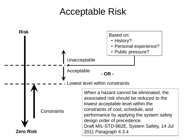## Acceptable Risk

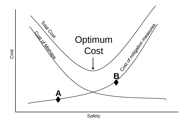

Cost

**Safety**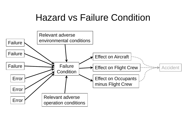# Hazard vs Failure Condition

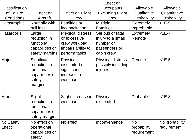| <b>Classification</b><br>of Failure<br><b>Conditions</b><br>Catastrophic | Effect on<br>Aircraft<br>Normally with                                             | <b>Effect on Flight</b><br>Crew<br><b>Fatalities or</b>                                          | Effect on<br>Occupants<br><b>Excluding Flight</b><br>Crew<br><b>Multiple</b>       | Allowable<br>Qualitative<br>Probability<br><b>Extremely</b> | Allowable<br>Quantitative<br><b>Probability</b><br>$<$ 1 $E$ -9 |
|--------------------------------------------------------------------------|------------------------------------------------------------------------------------|--------------------------------------------------------------------------------------------------|------------------------------------------------------------------------------------|-------------------------------------------------------------|-----------------------------------------------------------------|
|                                                                          | hull loss                                                                          | incapacitation                                                                                   | Fatalities.                                                                        | Improbable                                                  |                                                                 |
| <b>Hazardous</b>                                                         | Large<br>reduction in<br>functional<br>capabilities or<br>safety margins           | <b>Physical distress</b><br>or excessive<br>crew workload<br>impairs ability to<br>perform tasks | Serious or fatal<br>injury to a small<br>number of<br>passengers or<br>cabin crew. | <b>Extremely</b><br>Remote                                  | $<$ 1E-7                                                        |
| Major                                                                    | Significant<br>reduction in<br>functional<br>capabilities or<br>safety<br>margins. | Physical<br>discomfort or<br>significant<br>increase in<br>workload                              | <b>Physical distress</b><br>possibly including<br>injuries                         | Remote                                                      | $<$ 1E-5                                                        |
| Minor                                                                    | Slight<br>reduction in<br>functional<br>capabilities or<br>safety margins          | Slight increase in<br>workload.                                                                  | Physical<br>discomfort                                                             | Probable                                                    | $<$ 1E-3                                                        |
| No Safety<br><b>Effect</b>                                               | No effect on<br>operational<br>capabilities or<br>safety                           | No effect                                                                                        | Inconvenience                                                                      | <b>No</b><br>probability<br>requirement                     | No probability<br>requirement                                   |